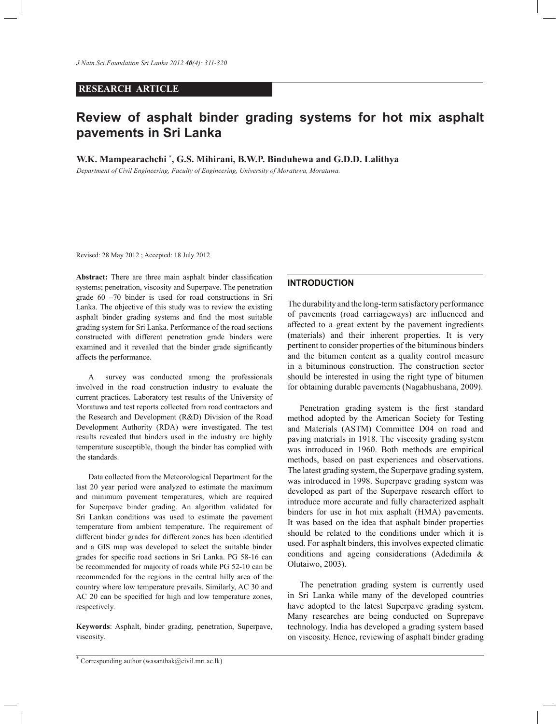# **RESEARCH ARTICLE**

# **Review of asphalt binder grading systems for hot mix asphalt pavements in Sri Lanka**

**W.K. Mampearachchi \* , G.S. Mihirani, B.W.P. Binduhewa and G.D.D. Lalithya**

*Department of Civil Engineering, Faculty of Engineering, University of Moratuwa, Moratuwa.*

Revised: 28 May 2012 ; Accepted: 18 July 2012

**Abstract:** There are three main asphalt binder classification systems; penetration, viscosity and Superpave. The penetration grade 60 –70 binder is used for road constructions in Sri Lanka. The objective of this study was to review the existing asphalt binder grading systems and find the most suitable grading system for Sri Lanka. Performance of the road sections constructed with different penetration grade binders were examined and it revealed that the binder grade significantly affects the performance.

 A survey was conducted among the professionals involved in the road construction industry to evaluate the current practices. Laboratory test results of the University of Moratuwa and test reports collected from road contractors and the Research and Development (R&D) Division of the Road Development Authority (RDA) were investigated. The test results revealed that binders used in the industry are highly temperature susceptible, though the binder has complied with the standards.

 Data collected from the Meteorological Department for the last 20 year period were analyzed to estimate the maximum and minimum pavement temperatures, which are required for Superpave binder grading. An algorithm validated for Sri Lankan conditions was used to estimate the pavement temperature from ambient temperature. The requirement of different binder grades for different zones has been identified and a GIS map was developed to select the suitable binder grades for specific road sections in Sri Lanka. PG 58-16 can be recommended for majority of roads while PG 52-10 can be recommended for the regions in the central hilly area of the country where low temperature prevails. Similarly, AC 30 and AC 20 can be specified for high and low temperature zones, respectively.

**Keywords**: Asphalt, binder grading, penetration, Superpave, viscosity.

#### **INTRODUCTION**

The durability and the long-term satisfactory performance of pavements (road carriageways) are influenced and affected to a great extent by the pavement ingredients (materials) and their inherent properties. It is very pertinent to consider properties of the bituminous binders and the bitumen content as a quality control measure in a bituminous construction. The construction sector should be interested in using the right type of bitumen for obtaining durable pavements (Nagabhushana, 2009).

 Penetration grading system is the first standard method adopted by the American Society for Testing and Materials (ASTM) Committee D04 on road and paving materials in 1918. The viscosity grading system was introduced in 1960. Both methods are empirical methods, based on past experiences and observations. The latest grading system, the Superpave grading system, was introduced in 1998. Superpave grading system was developed as part of the Superpave research effort to introduce more accurate and fully characterized asphalt binders for use in hot mix asphalt (HMA) pavements. It was based on the idea that asphalt binder properties should be related to the conditions under which it is used. For asphalt binders, this involves expected climatic conditions and ageing considerations (Adedimila & Olutaiwo, 2003).

 The penetration grading system is currently used in Sri Lanka while many of the developed countries have adopted to the latest Superpave grading system. Many researches are being conducted on Suprepave technology. India has developed a grading system based on viscosity. Hence, reviewing of asphalt binder grading

<sup>\*</sup> Corresponding author (wasanthak@civil.mrt.ac.lk)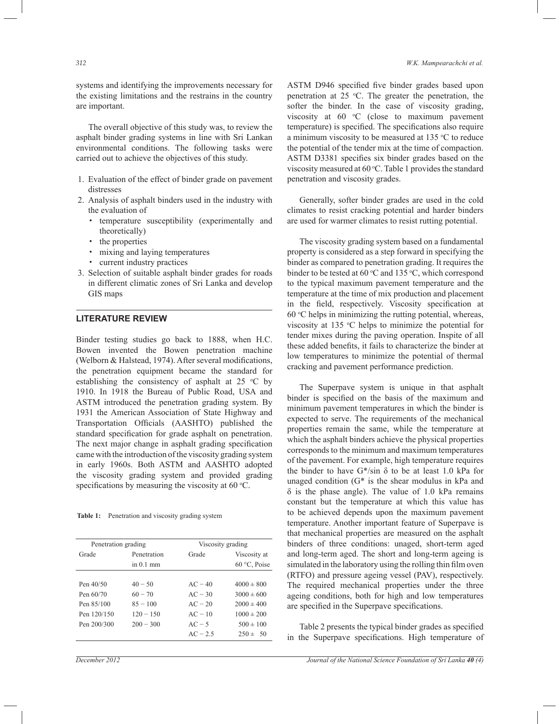systems and identifying the improvements necessary for the existing limitations and the restrains in the country are important.

 The overall objective of this study was, to review the asphalt binder grading systems in line with Sri Lankan environmental conditions. The following tasks were carried out to achieve the objectives of this study.

- 1. Evaluation of the effect of binder grade on pavement distresses
- 2. Analysis of asphalt binders used in the industry with the evaluation of
	- † temperature susceptibility (experimentally and theoretically)
	- † the properties
	- † mixing and laying temperatures
	- † current industry practices
- 3. Selection of suitable asphalt binder grades for roads in different climatic zones of Sri Lanka and develop GIS maps

# **LITERATURE REVIEW**

Binder testing studies go back to 1888, when H.C. Bowen invented the Bowen penetration machine (Welborn & Halstead, 1974). After several modifications, the penetration equipment became the standard for establishing the consistency of asphalt at 25  $\degree$ C by 1910. In 1918 the Bureau of Public Road, USA and ASTM introduced the penetration grading system. By 1931 the American Association of State Highway and Transportation Officials (AASHTO) published the standard specification for grade asphalt on penetration. The next major change in asphalt grading specification came with the introduction of the viscosity grading system in early 1960s. Both ASTM and AASHTO adopted the viscosity grading system and provided grading specifications by measuring the viscosity at 60  $^{\circ}$ C.

Table 1: Penetration and viscosity grading system

| Penetration grading |             | Viscosity grading     |                 |  |
|---------------------|-------------|-----------------------|-----------------|--|
| Grade               | Penetration | Grade<br>Viscosity at |                 |  |
|                     | in $0.1$ mm |                       | $60 °C$ , Poise |  |
|                     |             |                       |                 |  |
| Pen 40/50           | $40 - 50$   | $AC - 40$             | $4000 \pm 800$  |  |
| Pen 60/70           | $60 - 70$   | $AC - 30$             | $3000 \pm 600$  |  |
| Pen 85/100          | $85 - 100$  | $AC - 20$             | $2000 \pm 400$  |  |
| Pen 120/150         | $120 - 150$ | $AC - 10$             | $1000 \pm 200$  |  |
| Pen 200/300         | $200 - 300$ | $AC - 5$              | $500 \pm 100$   |  |
|                     |             | $AC - 2.5$            | $250 \pm 50$    |  |

ASTM D946 specified five binder grades based upon penetration at 25  $°C$ . The greater the penetration, the softer the binder. In the case of viscosity grading, viscosity at  $60$   $°C$  (close to maximum pavement temperature) is specified. The specifications also require a minimum viscosity to be measured at  $135 \text{ °C}$  to reduce the potential of the tender mix at the time of compaction. ASTM D3381 specifies six binder grades based on the viscosity measured at  $60^{\circ}$ C. Table 1 provides the standard penetration and viscosity grades.

 Generally, softer binder grades are used in the cold climates to resist cracking potential and harder binders are used for warmer climates to resist rutting potential.

 The viscosity grading system based on a fundamental property is considered as a step forward in specifying the binder as compared to penetration grading. It requires the binder to be tested at 60  $\degree$ C and 135  $\degree$ C, which correspond to the typical maximum pavement temperature and the temperature at the time of mix production and placement in the field, respectively. Viscosity specification at  $60 °C$  helps in minimizing the rutting potential, whereas, viscosity at 135  $\degree$ C helps to minimize the potential for tender mixes during the paving operation. Inspite of all these added benefits, it fails to characterize the binder at low temperatures to minimize the potential of thermal cracking and pavement performance prediction.

 The Superpave system is unique in that asphalt binder is specified on the basis of the maximum and minimum pavement temperatures in which the binder is expected to serve. The requirements of the mechanical properties remain the same, while the temperature at which the asphalt binders achieve the physical properties corresponds to the minimum and maximum temperatures of the pavement. For example, high temperature requires the binder to have  $G^*$ /sin  $\delta$  to be at least 1.0 kPa for unaged condition (G\* is the shear modulus in kPa and  $\delta$  is the phase angle). The value of 1.0 kPa remains constant but the temperature at which this value has to be achieved depends upon the maximum pavement temperature. Another important feature of Superpave is that mechanical properties are measured on the asphalt binders of three conditions: unaged, short-term aged and long-term aged. The short and long-term ageing is simulated in the laboratory using the rolling thin film oven (RTFO) and pressure ageing vessel (PAV), respectively. The required mechanical properties under the three ageing conditions, both for high and low temperatures are specified in the Superpave specifications.

 Table 2 presents the typical binder grades as specified in the Superpave specifications. High temperature of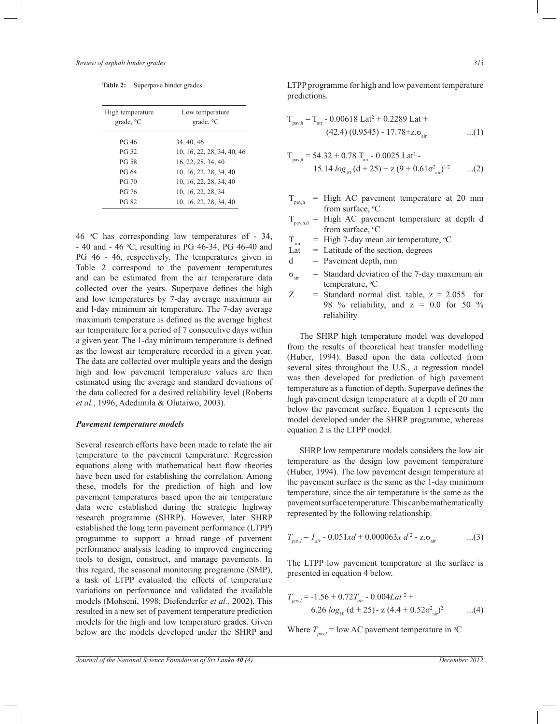**Table 2:** Superpave binder grades

| High temperature | Low temperature            |  |  |
|------------------|----------------------------|--|--|
| grade, °C        | grade, $^{\circ}$ C        |  |  |
| PG 46            | 34, 40, 46                 |  |  |
| <b>PG 52</b>     | 10, 16, 22, 28, 34, 40, 46 |  |  |
| <b>PG 58</b>     | 16, 22, 28, 34, 40         |  |  |
| PG 64            | 10, 16, 22, 28, 34, 40     |  |  |
| <b>PG 70</b>     | 10, 16, 22, 28, 34, 40     |  |  |
| PG 76            | 10, 16, 22, 28, 34         |  |  |
| PG 82            | 10, 16, 22, 28, 34, 40     |  |  |

46 °C has corresponding low temperatures of - 34, - 40 and - 46 °C, resulting in PG 46-34, PG 46-40 and PG 46 - 46, respectively. The temperatures given in Table 2 correspond to the pavement temperatures and can be estimated from the air temperature data collected over the years. Superpave defines the high and low temperatures by 7-day average maximum air and l-day minimum air temperature. The 7-day average maximum temperature is defined as the average highest air temperature for a period of 7 consecutive days within a given year. The 1-day minimum temperature is defined as the lowest air temperature recorded in a given year. The data are collected over multiple years and the design high and low pavement temperature values are then estimated using the average and standard deviations of the data collected for a desired reliability level (Roberts *et al.*, 1996, Adedimila & Olutaiwo, 2003).

#### *Pavement temperature models*

Several research efforts have been made to relate the air temperature to the pavement temperature. Regression equations along with mathematical heat flow theories have been used for establishing the correlation. Among these, models for the prediction of high and low pavement temperatures based upon the air temperature data were established during the strategic highway research programme (SHRP). However, later SHRP established the long term pavement performance (LTPP) programme to support a broad range of pavement performance analysis leading to improved engineering tools to design, construct, and manage pavements. In this regard, the seasonal monitoring programme (SMP), a task of LTPP evaluated the effects of temperature variations on performance and validated the available models (Mohseni, 1998; Diefenderfer *et al.*, 2002). This resulted in a new set of pavement temperature prediction models for the high and low temperature grades. Given below are the models developed under the SHRP and LTPP programme for high and low pavement temperature predictions.

$$
T_{\text{pav,h}} = T_{\text{air}} - 0.00618 \text{ Lat}^2 + 0.2289 \text{ Lat} +
$$
  
(42.4) (0.9545) - 17.78+z.  $\sigma_{\text{air}}$  ...(1)

$$
T_{\text{pav,h}} = 54.32 + 0.78 T_{\text{air}} - 0.0025 \text{ Lat}^2 - 15.14 \log_{10} (d + 25) + z (9 + 0.61 \sigma_{\text{air}}^2)^{1/2} \qquad ...(2)
$$

- $T_{\text{payh}}$  = High AC pavement temperature at 20 mm from surface,  $\mathrm{C}$
- $T_{\text{pav,h,d}}$  = High AC pavement temperature at depth d from surface, °C
- $T_{air}$  = High 7-day mean air temperature, °C<br>Lat = Latitude of the section, degrees
	- $=$  Latitude of the section, degrees
- $d =$  Pavement depth, mm
- $\sigma_{air}$  = Standard deviation of the 7-day maximum air temperature,  $\mathrm{C}$
- $Z =$  Standard normal dist. table,  $z = 2.055$  for 98 % reliability, and  $z = 0.0$  for 50 % reliability

 The SHRP high temperature model was developed from the results of theoretical heat transfer modelling (Huber, 1994). Based upon the data collected from several sites throughout the U.S., a regression model was then developed for prediction of high pavement temperature as a function of depth. Superpave defines the high pavement design temperature at a depth of 20 mm below the pavement surface. Equation 1 represents the model developed under the SHRP programme, whereas equation 2 is the LTPP model.

 SHRP low temperature models considers the low air temperature as the design low pavement temperature (Huber, 1994). The low pavement design temperature at the pavement surface is the same as the 1-day minimum temperature, since the air temperature is the same as the pavement surface temperature. This can be mathematically represented by the following relationship.

$$
T_{\text{part}} = T_{\text{air}} - 0.051xd + 0.000063x \, d^2 - z.\sigma_{\text{air}} \tag{3}
$$

The LTPP low pavement temperature at the surface is presented in equation 4 below.

$$
T_{pav,l} = -1.56 + 0.72T_{air} - 0.004Lat^2 +
$$
  
6.26  $log_{10} (d + 25) - z (4.4 + 0.52\sigma_{air}^2)^2$  ...(4)

Where  $T_{pav}$  = low AC pavement temperature in <sup>o</sup>C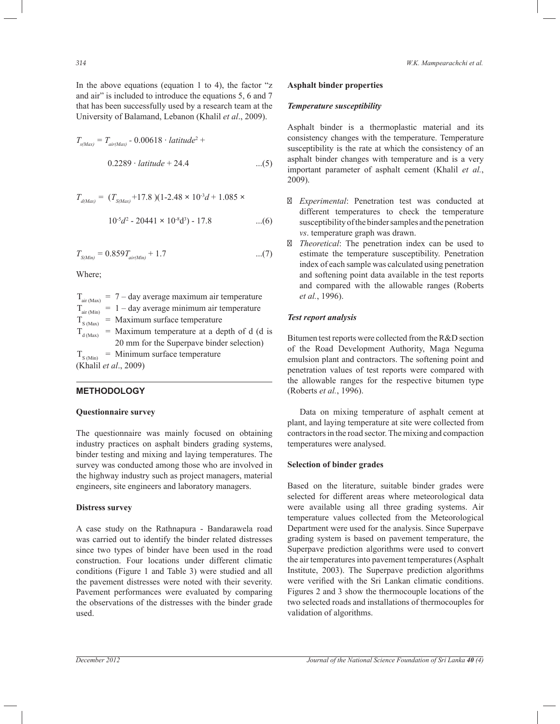In the above equations (equation 1 to 4), the factor  $\mathscr{L}_z$ and air" is included to introduce the equations 5, 6 and 7 that has been successfully used by a research team at the University of Balamand, Lebanon (Khalil *et al*., 2009).

$$
T_{s(Max)} = T_{air(Max)} - 0.00618 \cdot latitude^{2} +
$$
  
0.2289 \cdot latitude + 24.4 ....(5)

$$
T_{d(Max)} = (T_{S(Max)} + 17.8)(1-2.48 \times 10^3 d + 1.085 \times
$$
  

$$
10^5 d^2 - 20441 \times 10^8 d^3) - 17.8 \qquad ...(6)
$$

$$
T_{S(Min)} = 0.859 T_{air(Min)} + 1.7 \tag{7}
$$

Where;

 $T_{\text{air (Max)}} = 7 - \text{day average maximum air temperature}$  $T_{air (Min)}$  = 1 – day average minimum air temperature  $T_{S (Max)}$  = Maximum surface temperature  $T_{d(Max)}$  = Maximum temperature at a depth of d (d is 20 mm for the Superpave binder selection)  $T_{\text{S (Min)}}$  = Minimum surface temperature (Khalil *et al*., 2009)

# **METHODOLOGY**

# **Questionnaire survey**

The questionnaire was mainly focused on obtaining industry practices on asphalt binders grading systems, binder testing and mixing and laying temperatures. The survey was conducted among those who are involved in the highway industry such as project managers, material engineers, site engineers and laboratory managers.

# **Distress survey**

A case study on the Rathnapura - Bandarawela road was carried out to identify the binder related distresses since two types of binder have been used in the road construction. Four locations under different climatic conditions (Figure 1 and Table 3) were studied and all the pavement distresses were noted with their severity. Pavement performances were evaluated by comparing the observations of the distresses with the binder grade used.

#### **Asphalt binder properties**

### *Temperature susceptibility*

Asphalt binder is a thermoplastic material and its consistency changes with the temperature. Temperature susceptibility is the rate at which the consistency of an asphalt binder changes with temperature and is a very important parameter of asphalt cement (Khalil *et al.*, 2009).

- *Experimental*: Penetration test was conducted at different temperatures to check the temperature susceptibility of the binder samples and the penetration *vs*. temperature graph was drawn.
- *Theoretical*: The penetration index can be used to estimate the temperature susceptibility. Penetration index of each sample was calculated using penetration and softening point data available in the test reports and compared with the allowable ranges (Roberts *et al.*, 1996).

# *Test report analysis*

Bitumen test reports were collected from the R&D section of the Road Development Authority, Maga Neguma emulsion plant and contractors. The softening point and penetration values of test reports were compared with the allowable ranges for the respective bitumen type (Roberts *et al.*, 1996).

 Data on mixing temperature of asphalt cement at plant, and laying temperature at site were collected from contractors in the road sector. The mixing and compaction temperatures were analysed.

#### **Selection of binder grades**

Based on the literature, suitable binder grades were selected for different areas where meteorological data were available using all three grading systems. Air temperature values collected from the Meteorological Department were used for the analysis. Since Superpave grading system is based on pavement temperature, the Superpave prediction algorithms were used to convert the air temperatures into pavement temperatures (Asphalt Institute, 2003). The Superpave prediction algorithms were verified with the Sri Lankan climatic conditions. Figures 2 and 3 show the thermocouple locations of the two selected roads and installations of thermocouples for validation of algorithms.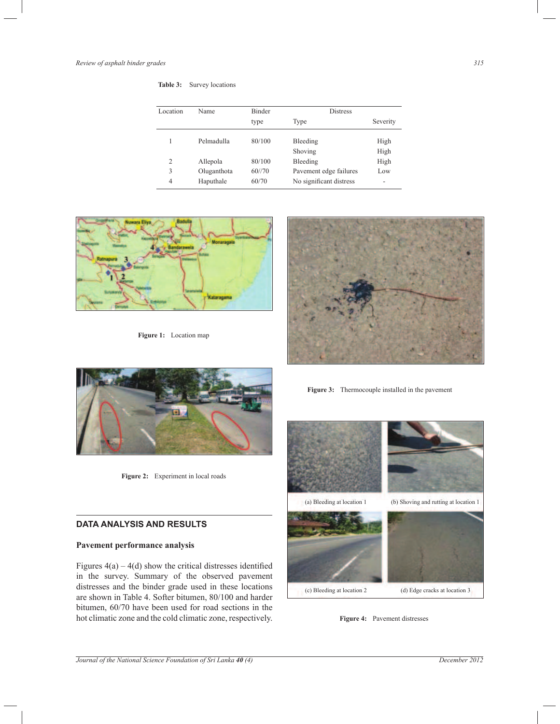| Table 3: |  |  | Survey locations |
|----------|--|--|------------------|
|----------|--|--|------------------|

| Location | Name        | Binder | <b>Distress</b>         |                          |
|----------|-------------|--------|-------------------------|--------------------------|
|          |             | type   | Type                    | Severity                 |
|          | Pelmadulla  | 80/100 | Bleeding<br>Shoving     | High<br>High             |
| 2        | Allepola    | 80/100 | Bleeding                | High                     |
| 3        | Oluganthota | 60//70 | Pavement edge failures  | Low                      |
| 4        | Haputhale   | 60/70  | No significant distress | $\overline{\phantom{a}}$ |



**Figure 1:** Location map





Figure 2: Experiment in local roads

# **DATA ANALYSIS AND RESULTS**

## **Pavement performance analysis**

Figures  $4(a) - 4(d)$  show the critical distresses identified in the survey. Summary of the observed pavement distresses and the binder grade used in these locations are shown in Table 4. Softer bitumen, 80/100 and harder bitumen, 60/70 have been used for road sections in the hot climatic zone and the cold climatic zone, respectively.

**Figure 3:** Thermocouple installed in the pavement



**Figure 4:** Pavement distresses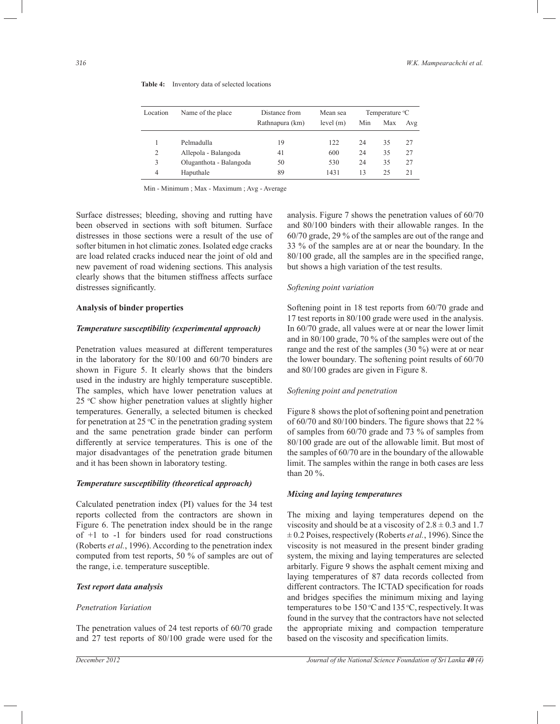| Location | Name of the place       | Distance from   | Mean sea |     | Temperature <sup>o</sup> C |     |
|----------|-------------------------|-----------------|----------|-----|----------------------------|-----|
|          |                         | Rathnapura (km) | level(m) | Min | Max                        | Avg |
|          | Pelmadulla              | 19              | 122      | 24  | 35                         | 27  |
| 2        | Allepola - Balangoda    | 41              | 600      | 24  | 35                         | 27  |
| 3        | Oluganthota - Balangoda | 50              | 530      | 24  | 35                         | 27  |
| 4        | Haputhale               | 89              | 1431     | 13  | 25                         | 21  |

**Table 4:** Inventory data of selected locations

Min - Minimum ; Max - Maximum ; Avg - Average

Surface distresses; bleeding, shoving and rutting have been observed in sections with soft bitumen. Surface distresses in those sections were a result of the use of softer bitumen in hot climatic zones. Isolated edge cracks are load related cracks induced near the joint of old and new pavement of road widening sections. This analysis clearly shows that the bitumen stiffness affects surface distresses significantly.

#### **Analysis of binder properties**

## *Temperature susceptibility (experimental approach)*

Penetration values measured at different temperatures in the laboratory for the 80/100 and 60/70 binders are shown in Figure 5. It clearly shows that the binders used in the industry are highly temperature susceptible. The samples, which have lower penetration values at 25  $\degree$ C show higher penetration values at slightly higher temperatures. Generally, a selected bitumen is checked for penetration at 25  $\degree$ C in the penetration grading system and the same penetration grade binder can perform differently at service temperatures. This is one of the major disadvantages of the penetration grade bitumen and it has been shown in laboratory testing.

### *Temperature susceptibility (theoretical approach)*

Calculated penetration index (PI) values for the 34 test reports collected from the contractors are shown in Figure 6. The penetration index should be in the range of +1 to -1 for binders used for road constructions (Roberts *et al.*, 1996). According to the penetration index computed from test reports, 50 % of samples are out of the range, i.e. temperature susceptible.

# *Test report data analysis*

#### *Penetration Variation*

The penetration values of 24 test reports of 60/70 grade and 27 test reports of 80/100 grade were used for the analysis. Figure 7 shows the penetration values of 60/70 and 80/100 binders with their allowable ranges. In the 60/70 grade, 29 % of the samples are out of the range and 33 % of the samples are at or near the boundary. In the 80/100 grade, all the samples are in the specified range, but shows a high variation of the test results.

# *Softening point variation*

Softening point in 18 test reports from 60/70 grade and 17 test reports in 80/100 grade were used in the analysis. In 60/70 grade, all values were at or near the lower limit and in 80/100 grade, 70 % of the samples were out of the range and the rest of the samples (30 %) were at or near the lower boundary. The softening point results of 60/70 and 80/100 grades are given in Figure 8.

# *Softening point and penetration*

Figure 8 shows the plot of softening point and penetration of 60/70 and 80/100 binders. The figure shows that 22 % of samples from 60/70 grade and 73 % of samples from 80/100 grade are out of the allowable limit. But most of the samples of 60/70 are in the boundary of the allowable limit. The samples within the range in both cases are less than 20 %.

#### *Mixing and laying temperatures*

The mixing and laying temperatures depend on the viscosity and should be at a viscosity of  $2.8 \pm 0.3$  and 1.7 ± 0.2 Poises, respectively (Roberts *et al.*, 1996). Since the viscosity is not measured in the present binder grading system, the mixing and laying temperatures are selected arbitarly. Figure 9 shows the asphalt cement mixing and laying temperatures of 87 data records collected from different contractors. The ICTAD specification for roads and bridges specifies the minimum mixing and laying temperatures to be  $150^{\circ}$ C and  $135^{\circ}$ C, respectively. It was found in the survey that the contractors have not selected the appropriate mixing and compaction temperature based on the viscosity and specification limits.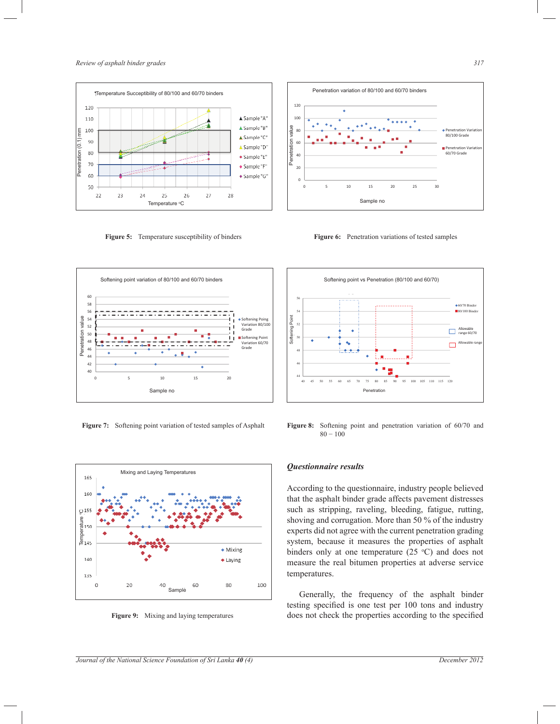

**Figure 5:** Temperature susceptibility of binders



**Figure 7:** Softening point variation of tested samples of Asphalt



**Figure 9:** Mixing and laying temperatures

**Figure 6:** Penetration variations of tested samples



**Figure 8:** Softening point and penetration variation of 60/70 and 80 − 100

# *Questionnaire results*

According to the questionnaire, industry people believed that the asphalt binder grade affects pavement distresses such as stripping, raveling, bleeding, fatigue, rutting, shoving and corrugation. More than 50 % of the industry experts did not agree with the current penetration grading system, because it measures the properties of asphalt binders only at one temperature  $(25 \degree C)$  and does not measure the real bitumen properties at adverse service temperatures.

 Generally, the frequency of the asphalt binder testing specified is one test per 100 tons and industry does not check the properties according to the specified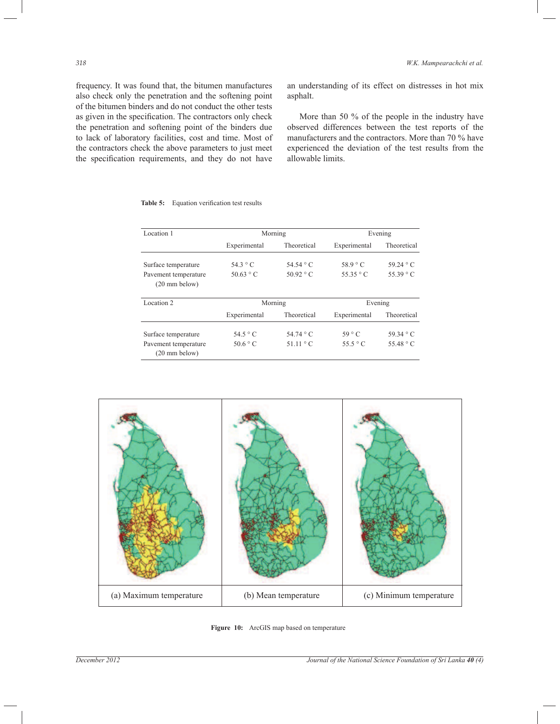frequency. It was found that, the bitumen manufactures also check only the penetration and the softening point of the bitumen binders and do not conduct the other tests as given in the specification. The contractors only check the penetration and softening point of the binders due to lack of laboratory facilities, cost and time. Most of the contractors check the above parameters to just meet the specification requirements, and they do not have

an understanding of its effect on distresses in hot mix asphalt.

 More than 50 % of the people in the industry have observed differences between the test reports of the manufacturers and the contractors. More than 70 % have experienced the deviation of the test results from the allowable limits.

| Location 1                                      |                   | Morning           | Evening           |                   |  |  |
|-------------------------------------------------|-------------------|-------------------|-------------------|-------------------|--|--|
|                                                 | Experimental      | Theoretical       | Experimental      | Theoretical       |  |  |
| Surface temperature                             | 54.3 $\degree$ C  | 54.54 $\degree$ C | 58.9 °C           | 59.24 $\degree$ C |  |  |
| Pavement temperature<br>$(20 \text{ mm}$ below) | $50.63 \degree C$ | $50.92 \degree C$ | $55.35 \degree C$ | 55.39 $\degree$ C |  |  |
| Location 2                                      |                   | Morning           |                   | Evening           |  |  |
|                                                 | Experimental      | Theoretical       | Experimental      | Theoretical       |  |  |
| Surface temperature                             | 54.5 $\degree$ C  | 54.74 $\degree$ C | $59^{\circ}$ C    | $59.34 \degree C$ |  |  |
| Pavement temperature<br>$(20 \text{ mm}$ below) | $50.6^\circ$ C    | $51.11 \degree C$ | $55.5 \degree C$  | 55.48 $\degree$ C |  |  |

**Table 5:** Equation verification test results



**Figure 10:** ArcGIS map based on temperature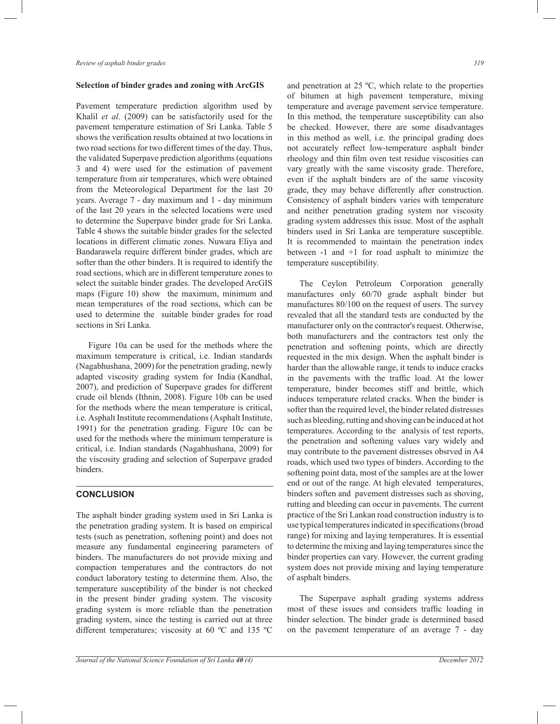#### **Selection of binder grades and zoning with ArcGIS**

Pavement temperature prediction algorithm used by Khalil *et al*. (2009) can be satisfactorily used for the pavement temperature estimation of Sri Lanka. Table 5 shows the verification results obtained at two locations in two road sections for two different times of the day. Thus, the validated Superpave prediction algorithms (equations 3 and 4) were used for the estimation of pavement temperature from air temperatures, which were obtained from the Meteorological Department for the last 20 years. Average 7 - day maximum and 1 - day minimum of the last 20 years in the selected locations were used to determine the Superpave binder grade for Sri Lanka. Table 4 shows the suitable binder grades for the selected locations in different climatic zones. Nuwara Eliya and Bandarawela require different binder grades, which are softer than the other binders. It is required to identify the road sections, which are in different temperature zones to select the suitable binder grades. The developed ArcGIS maps (Figure 10) show the maximum, minimum and mean temperatures of the road sections, which can be used to determine the suitable binder grades for road sections in Sri Lanka.

 Figure 10a can be used for the methods where the maximum temperature is critical, i.e. Indian standards (Nagabhushana, 2009) for the penetration grading, newly adapted viscosity grading system for India (Kandhal, 2007), and prediction of Superpave grades for different crude oil blends (Ithnin, 2008). Figure 10b can be used for the methods where the mean temperature is critical, i.e. Asphalt Institute recommendations (Asphalt Institute, 1991) for the penetration grading. Figure 10c can be used for the methods where the minimum temperature is critical, i.e. Indian standards (Nagabhushana, 2009) for the viscosity grading and selection of Superpave graded binders.

#### **CONCLUSION**

The asphalt binder grading system used in Sri Lanka is the penetration grading system. It is based on empirical tests (such as penetration, softening point) and does not measure any fundamental engineering parameters of binders. The manufacturers do not provide mixing and compaction temperatures and the contractors do not conduct laboratory testing to determine them. Also, the temperature susceptibility of the binder is not checked in the present binder grading system. The viscosity grading system is more reliable than the penetration grading system, since the testing is carried out at three different temperatures; viscosity at 60 ºC and 135 ºC and penetration at 25 ºC, which relate to the properties of bitumen at high pavement temperature, mixing temperature and average pavement service temperature. In this method, the temperature susceptibility can also be checked. However, there are some disadvantages in this method as well, i.e. the principal grading does not accurately reflect low-temperature asphalt binder rheology and thin film oven test residue viscosities can vary greatly with the same viscosity grade. Therefore, even if the asphalt binders are of the same viscosity grade, they may behave differently after construction. Consistency of asphalt binders varies with temperature and neither penetration grading system nor viscosity grading system addresses this issue. Most of the asphalt binders used in Sri Lanka are temperature susceptible. It is recommended to maintain the penetration index between -1 and +1 for road asphalt to minimize the temperature susceptibility.

 The Ceylon Petroleum Corporation generally manufactures only 60/70 grade asphalt binder but manufactures 80/100 on the request of users. The survey revealed that all the standard tests are conducted by the manufacturer only on the contractor's request. Otherwise, both manufacturers and the contractors test only the penetration and softening points, which are directly requested in the mix design. When the asphalt binder is harder than the allowable range, it tends to induce cracks in the pavements with the traffic load. At the lower temperature, binder becomes stiff and brittle, which induces temperature related cracks. When the binder is softer than the required level, the binder related distresses such as bleeding, rutting and shoving can be induced at hot temperatures. According to the analysis of test reports, the penetration and softening values vary widely and may contribute to the pavement distresses obsrved in A4 roads, which used two types of binders. According to the softening point data, most of the samples are at the lower end or out of the range. At high elevated temperatures, binders soften and pavement distresses such as shoving, rutting and bleeding can occur in pavements. The current practice of the Sri Lankan road construction industry is to use typical temperatures indicated in specifications (broad range) for mixing and laying temperatures. It is essential to determine the mixing and laying temperatures since the binder properties can vary. However, the current grading system does not provide mixing and laying temperature of asphalt binders.

 The Superpave asphalt grading systems address most of these issues and considers traffic loading in binder selection. The binder grade is determined based on the pavement temperature of an average 7 - day